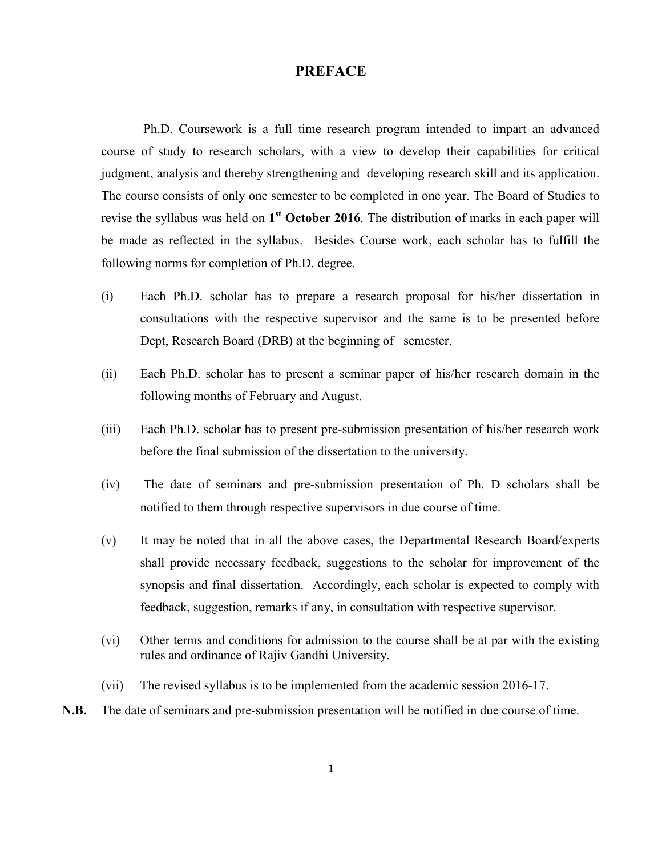## **PREFACE**

Ph.D. Coursework is a full time research program intended to impart an advanced course of study to research scholars, with a view to develop their capabilities for critical judgment, analysis and thereby strengthening and developing research skill and its application. The course consists of only one semester to be completed in one year. The Board of Studies to revise the syllabus was held on 1<sup>st</sup> October 2016. The distribution of marks in each paper will be made as reflected in the syllabus. Besides Course work, each scholar has to fulfill the following norms for completion of Ph.D. degree.

- $(i)$ Each Ph.D. scholar has to prepare a research proposal for his/her dissertation in consultations with the respective supervisor and the same is to be presented before Dept, Research Board (DRB) at the beginning of semester.
- $(ii)$ Each Ph.D. scholar has to present a seminar paper of his/her research domain in the following months of February and August.
- $(iii)$ Each Ph.D. scholar has to present pre-submission presentation of his/her research work before the final submission of the dissertation to the university.
- $(iv)$ The date of seminars and pre-submission presentation of Ph. D scholars shall be notified to them through respective supervisors in due course of time.
- It may be noted that in all the above cases, the Departmental Research Board/experts  $(v)$ shall provide necessary feedback, suggestions to the scholar for improvement of the synopsis and final dissertation. Accordingly, each scholar is expected to comply with feedback, suggestion, remarks if any, in consultation with respective supervisor.
- $(v_i)$ Other terms and conditions for admission to the course shall be at par with the existing rules and ordinance of Rajiv Gandhi University.
- $(vii)$ The revised syllabus is to be implemented from the academic session 2016-17.
- $N.B.$ The date of seminars and pre-submission presentation will be notified in due course of time.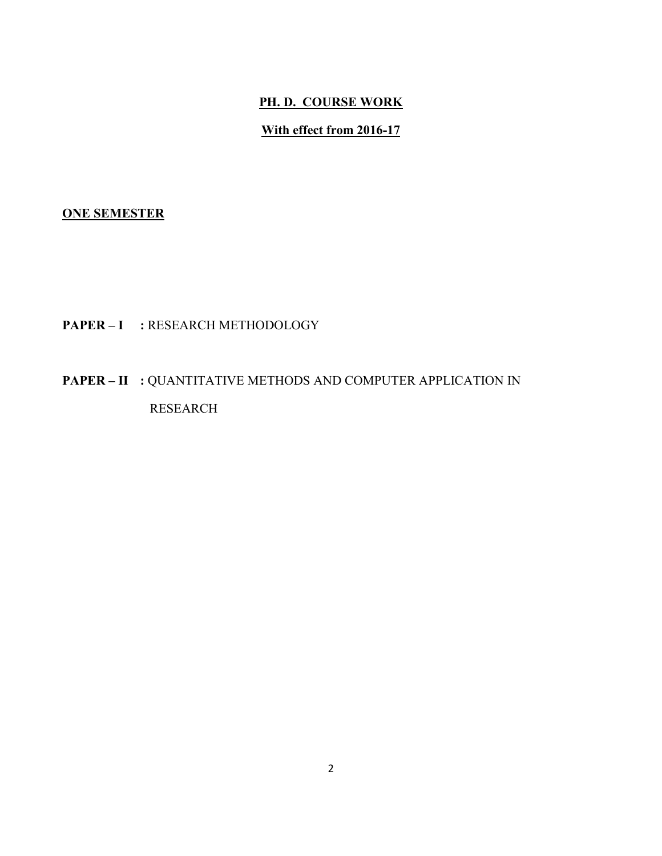# PH. D. COURSE WORK

# With effect from 2016-17

# **ONE SEMESTER**

# PAPER - I : RESEARCH METHODOLOGY

# **PAPER – II : QUANTITATIVE METHODS AND COMPUTER APPLICATION IN** RESEARCH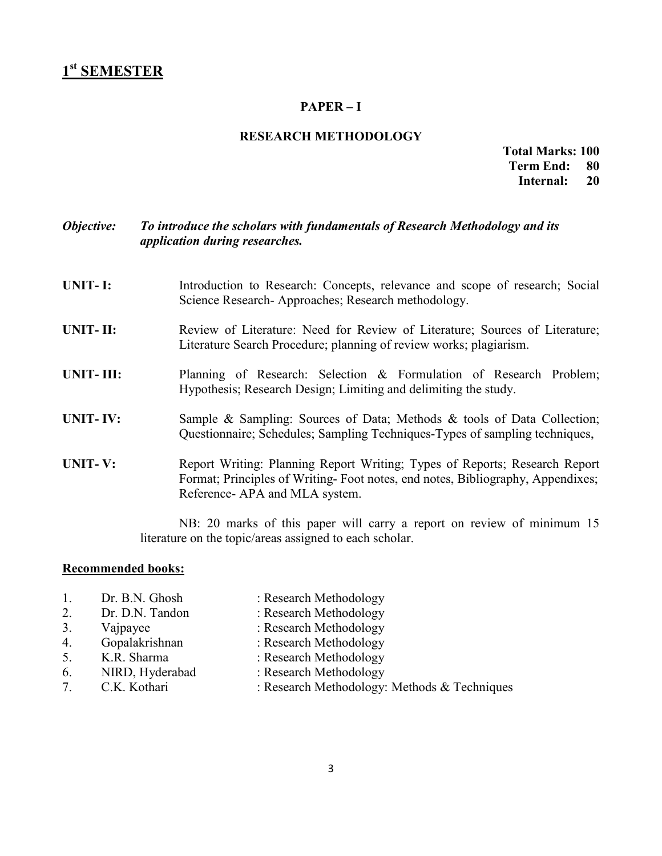## $PAPER - I$

## **RESEARCH METHODOLOGY**

#### **Total Marks: 100 Term End:** 80 Internal: 20

#### Objective: To introduce the scholars with fundamentals of Research Methodology and its application during researches.

- **UNIT-I:** Introduction to Research: Concepts, relevance and scope of research; Social Science Research-Approaches; Research methodology.
- $UNIT-II:$ Review of Literature: Need for Review of Literature; Sources of Literature; Literature Search Procedure; planning of review works; plagiarism.
- UNIT-III: Planning of Research: Selection & Formulation of Research Problem; Hypothesis; Research Design; Limiting and delimiting the study.
- **UNIT-IV:** Sample & Sampling: Sources of Data; Methods & tools of Data Collection; Questionnaire; Schedules; Sampling Techniques-Types of sampling techniques,
- **UNIT-V:** Report Writing: Planning Report Writing; Types of Reports; Research Report Format; Principles of Writing-Foot notes, end notes, Bibliography, Appendixes; Reference- APA and MLA system.

NB: 20 marks of this paper will carry a report on review of minimum 15 literature on the topic/areas assigned to each scholar.

### **Recommended books:**

1. Dr. B.N. Ghosh

Dr. D.N. Tandon

Gopalakrishnan

K.R. Sharma

: Research Methodology : Research Methodology

3. Vajpayee

 $2.$ 

 $\overline{4}$ .

 $5<sub>1</sub>$ 

6.

- : Research Methodology
- : Research Methodology
- : Research Methodology
- NIRD, Hyderabad
- C.K. Kothari  $7<sub>1</sub>$
- : Research Methodology
- : Research Methodology: Methods & Techniques